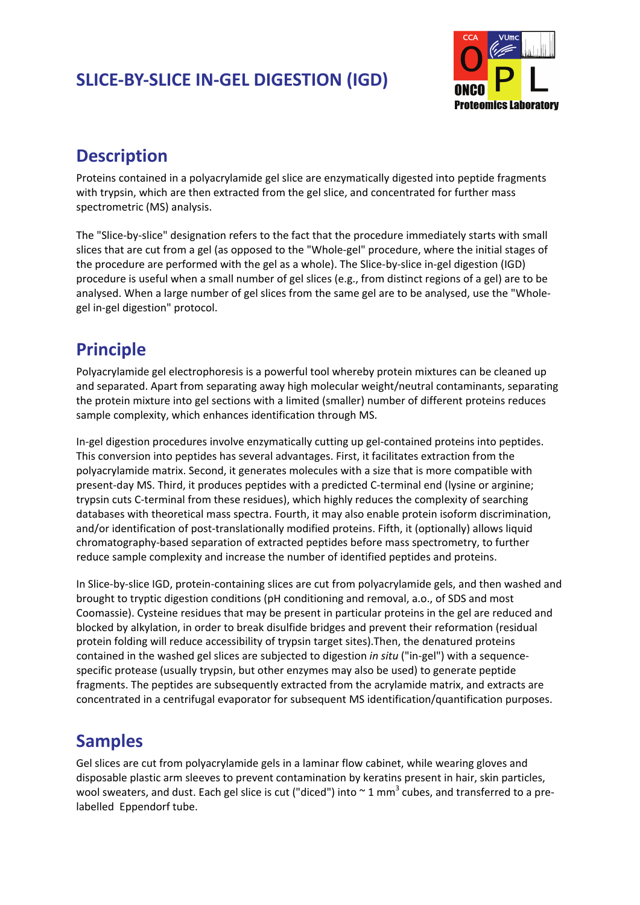# **SLICE‐BY‐SLICE IN‐GEL DIGESTION (IGD)**



# **Description**

Proteins contained in a polyacrylamide gel slice are enzymatically digested into peptide fragments with trypsin, which are then extracted from the gel slice, and concentrated for further mass spectrometric (MS) analysis.

The "Slice‐by‐slice" designation refers to the fact that the procedure immediately starts with small slices that are cut from a gel (as opposed to the "Whole‐gel" procedure, where the initial stages of the procedure are performed with the gel as a whole). The Slice‐by‐slice in‐gel digestion (IGD) procedure is useful when a small number of gel slices (e.g., from distinct regions of a gel) are to be analysed. When a large number of gel slices from the same gel are to be analysed, use the "Whole‐ gel in‐gel digestion" protocol.

# **Principle**

Polyacrylamide gel electrophoresis is a powerful tool whereby protein mixtures can be cleaned up and separated. Apart from separating away high molecular weight/neutral contaminants, separating the protein mixture into gel sections with a limited (smaller) number of different proteins reduces sample complexity, which enhances identification through MS.

In‐gel digestion procedures involve enzymatically cutting up gel‐contained proteins into peptides. This conversion into peptides has several advantages. First, it facilitates extraction from the polyacrylamide matrix. Second, it generates molecules with a size that is more compatible with present-day MS. Third, it produces peptides with a predicted C-terminal end (lysine or arginine; trypsin cuts C‐terminal from these residues), which highly reduces the complexity of searching databases with theoretical mass spectra. Fourth, it may also enable protein isoform discrimination, and/or identification of post-translationally modified proteins. Fifth, it (optionally) allows liquid chromatography‐based separation of extracted peptides before mass spectrometry, to further reduce sample complexity and increase the number of identified peptides and proteins.

In Slice-by-slice IGD, protein-containing slices are cut from polyacrylamide gels, and then washed and brought to tryptic digestion conditions (pH conditioning and removal, a.o., of SDS and most Coomassie). Cysteine residues that may be present in particular proteins in the gel are reduced and blocked by alkylation, in order to break disulfide bridges and prevent their reformation (residual protein folding will reduce accessibility of trypsin target sites).Then, the denatured proteins contained in the washed gel slices are subjected to digestion *in situ* ("in‐gel") with a sequence‐ specific protease (usually trypsin, but other enzymes may also be used) to generate peptide fragments. The peptides are subsequently extracted from the acrylamide matrix, and extracts are concentrated in a centrifugal evaporator for subsequent MS identification/quantification purposes.

# **Samples**

Gel slices are cut from polyacrylamide gels in a laminar flow cabinet, while wearing gloves and disposable plastic arm sleeves to prevent contamination by keratins present in hair, skin particles, wool sweaters, and dust. Each gel slice is cut ("diced") into  $\sim$  1 mm<sup>3</sup> cubes, and transferred to a prelabelled Eppendorf tube.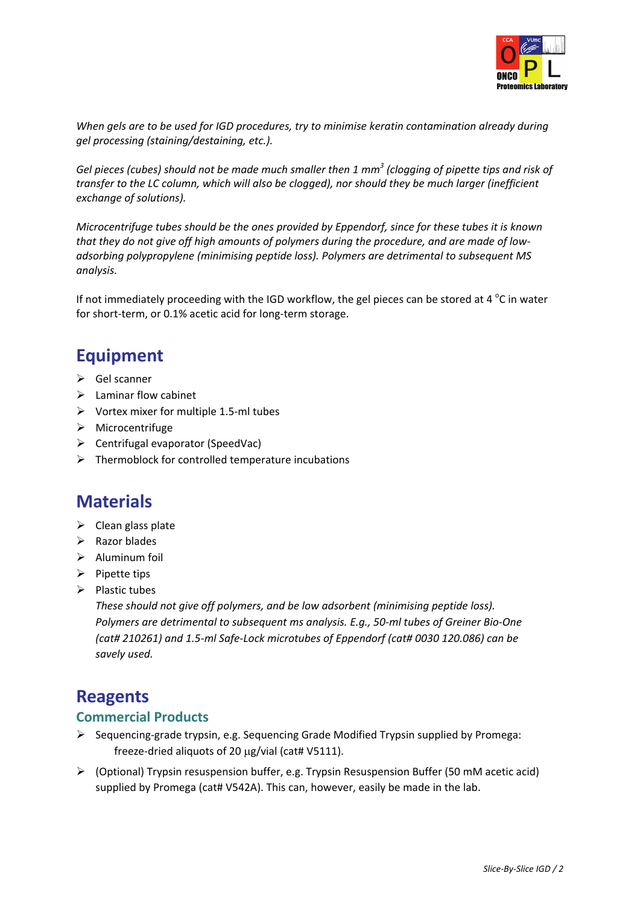

*When gels are to be used for IGD procedures, try to minimise keratin contamination already during gel processing (staining/destaining, etc.).*

Gel pieces (cubes) should not be made much smaller then 1  $mm<sup>3</sup>$  (clogging of pipette tips and risk of *transfer to the LC column, which will also be clogged), nor should they be much larger (inefficient exchange of solutions).*

*Microcentrifuge tubes should be the ones provided by Eppendorf, since for these tubes it is known* that they do not give off high amounts of polymers during the procedure, and are made of low*adsorbing polypropylene (minimising peptide loss). Polymers are detrimental to subsequent MS analysis.*

If not immediately proceeding with the IGD workflow, the gel pieces can be stored at 4  $^{\circ}$ C in water for short-term, or 0.1% acetic acid for long-term storage.

# **Equipment**

- $\triangleright$  Gel scanner
- $\blacktriangleright$  Laminar flow cabinet
- ¾ Vortex mixer for multiple 1.5‐ml tubes
- ¾ Microcentrifuge
- $\triangleright$  Centrifugal evaporator (SpeedVac)
- $\triangleright$  Thermoblock for controlled temperature incubations

### **Materials**

- $\triangleright$  Clean glass plate
- $\triangleright$  Razor blades
- $\triangleright$  Aluminum foil
- $\triangleright$  Pipette tips
- $\triangleright$  Plastic tubes

*These should not give off polymers, and be low adsorbent (minimising peptide loss). Polymers are detrimental to subsequent ms analysis. E.g., 50‐ml tubes of Greiner Bio‐One (cat# 210261) and 1.5‐ml Safe‐Lock microtubes of Eppendorf (cat# 0030 120.086) can be savely used.*

### **Reagents**

### **Commercial Products**

- ¾ Sequencing‐grade trypsin, e.g. Sequencing Grade Modified Trypsin supplied by Promega: freeze‐dried aliquots of 20 μg/vial (cat# V5111).
- $\triangleright$  (Optional) Trypsin resuspension buffer, e.g. Trypsin Resuspension Buffer (50 mM acetic acid) supplied by Promega (cat# V542A). This can, however, easily be made in the lab.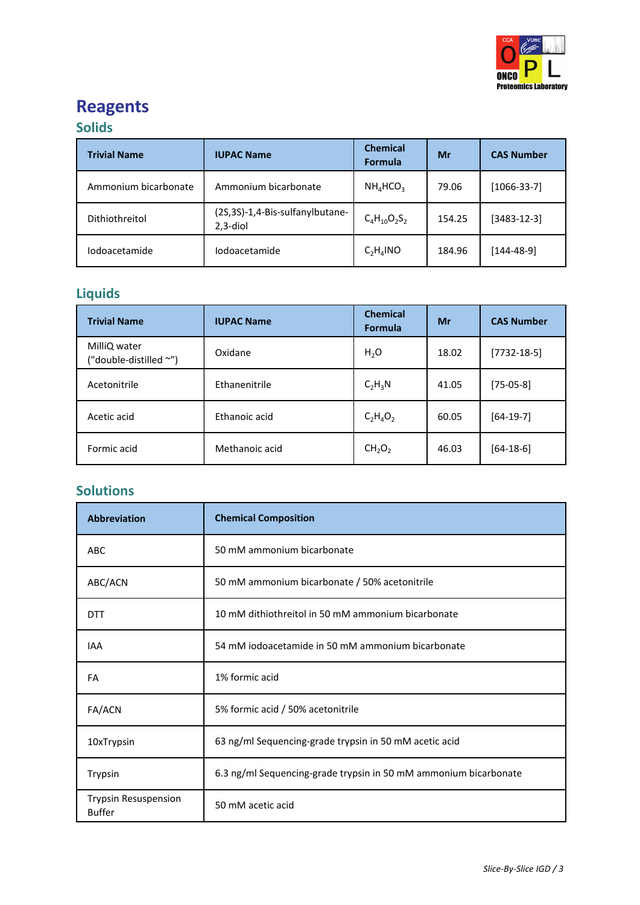

# **Reagents**

### **Solids**

| <b>Trivial Name</b>  | <b>IUPAC Name</b>                               | <b>Chemical</b><br><b>Formula</b> | Mr     | <b>CAS Number</b> |
|----------------------|-------------------------------------------------|-----------------------------------|--------|-------------------|
| Ammonium bicarbonate | Ammonium bicarbonate                            | $NH_4HCO_3$                       | 79.06  | $[1066-33-7]$     |
| Dithiothreitol       | (2S,3S)-1,4-Bis-sulfanylbutane-<br>$2, 3$ -diol | $C_4H_{10}O_2S_2$                 | 154.25 | $[3483 - 12 - 3]$ |
| <i>lodoacetamide</i> | <i>lodoacetamide</i>                            | $C_2H_4NO$                        | 184.96 | [144-48-9]        |

# **Liquids**

| <b>Trivial Name</b>                    | <b>IUPAC Name</b> | <b>Chemical</b><br><b>Formula</b> | Mr    | <b>CAS Number</b> |
|----------------------------------------|-------------------|-----------------------------------|-------|-------------------|
| MilliQ water<br>("double-distilled ~") | Oxidane           | $H_2O$                            | 18.02 | $[7732-18-5]$     |
| Acetonitrile                           | Ethanenitrile     | $C_2H_3N$                         | 41.05 | $[75-05-8]$       |
| Acetic acid                            | Ethanoic acid     | $C_2H_4O_2$                       | 60.05 | $[64-19-7]$       |
| Formic acid                            | Methanoic acid    | CH <sub>2</sub> O <sub>2</sub>    | 46.03 | $[64-18-6]$       |

### **Solutions**

| <b>Abbreviation</b>                          | <b>Chemical Composition</b>                                      |  |
|----------------------------------------------|------------------------------------------------------------------|--|
| <b>ABC</b>                                   | 50 mM ammonium bicarbonate                                       |  |
| ABC/ACN                                      | 50 mM ammonium bicarbonate / 50% acetonitrile                    |  |
| DTT                                          | 10 mM dithiothreitol in 50 mM ammonium bicarbonate               |  |
| <b>IAA</b>                                   | 54 mM iodoacetamide in 50 mM ammonium bicarbonate                |  |
| FA                                           | 1% formic acid                                                   |  |
| FA/ACN                                       | 5% formic acid / 50% acetonitrile                                |  |
| 10xTrypsin                                   | 63 ng/ml Sequencing-grade trypsin in 50 mM acetic acid           |  |
| Trypsin                                      | 6.3 ng/ml Sequencing-grade trypsin in 50 mM ammonium bicarbonate |  |
| <b>Trypsin Resuspension</b><br><b>Buffer</b> | 50 mM acetic acid                                                |  |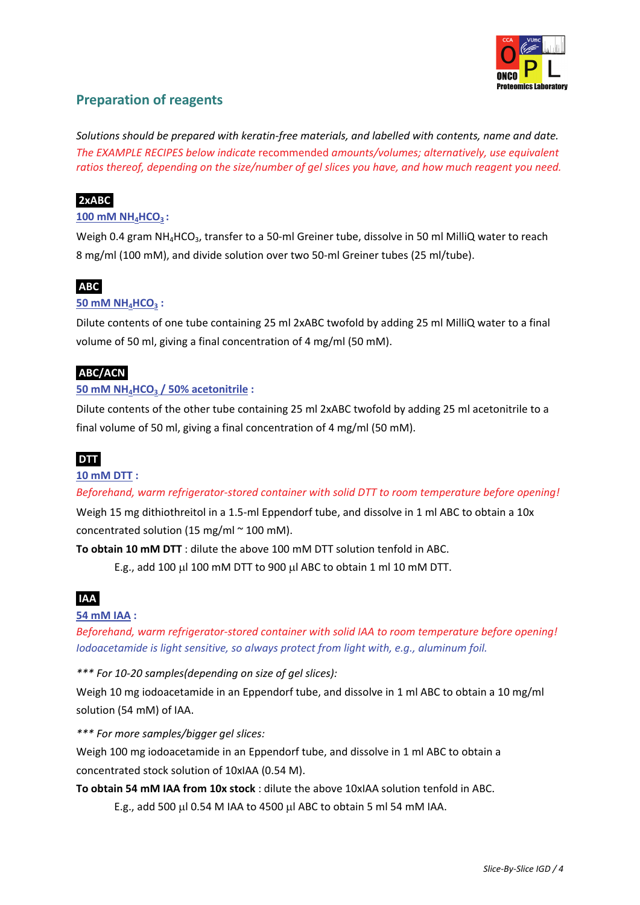

### **Preparation of reagents**

*Solutions should be prepared with keratin‐free materials, and labelled with contents, name and date. The EXAMPLE RECIPES below indicate* recommended *amounts/volumes; alternatively, use equivalent ratios thereof, depending on the size/number of gel slices you have, and how much reagent you need.*

#### **2xABC.**

#### **100 mM NH4HCO3 :**

Weigh 0.4 gram NH<sub>4</sub>HCO<sub>3</sub>, transfer to a 50-ml Greiner tube, dissolve in 50 ml MilliQ water to reach 8 mg/ml (100 mM), and divide solution over two 50-ml Greiner tubes (25 ml/tube).

### **ABC**.

#### **50 mM NH4HCO3 :**

Dilute contents of one tube containing 25 ml 2xABC twofold by adding 25 ml MilliQ water to a final volume of 50 ml, giving a final concentration of 4 mg/ml (50 mM).

#### **ABC/ACN**.

#### **50 mM NH4HCO3 / 50% acetonitrile :**

Dilute contents of the other tube containing 25 ml 2xABC twofold by adding 25 ml acetonitrile to a final volume of 50 ml, giving a final concentration of 4 mg/ml (50 mM).

#### **DTT**.

#### **10 mM DTT :**

*Beforehand, warm refrigerator‐stored container with solid DTT to room temperature before opening!*

Weigh 15 mg dithiothreitol in a 1.5-ml Eppendorf tube, and dissolve in 1 ml ABC to obtain a 10x concentrated solution (15 mg/ml  $\sim$  100 mM).

**To obtain 10 mM DTT** : dilute the above 100 mM DTT solution tenfold in ABC.

E.g., add 100 μl 100 mM DTT to 900 μl ABC to obtain 1 ml 10 mM DTT.

### **IAA**.

#### **54 mM IAA :**

*Beforehand, warm refrigerator‐stored container with solid IAA to room temperature before opening! Iodoacetamide is light sensitive, so always protect from light with, e.g., aluminum foil.*

*\*\*\* For 10‐20 samples(depending on size of gel slices):*

Weigh 10 mg iodoacetamide in an Eppendorf tube, and dissolve in 1 ml ABC to obtain a 10 mg/ml solution (54 mM) of IAA.

*\*\*\* For more samples/bigger gel slices:*

Weigh 100 mg iodoacetamide in an Eppendorf tube, and dissolve in 1 ml ABC to obtain a concentrated stock solution of 10xIAA (0.54 M).

**To obtain 54 mM IAA from 10x stock** : dilute the above 10xIAA solution tenfold in ABC.

E.g., add 500 μl 0.54 M IAA to 4500 μl ABC to obtain 5 ml 54 mM IAA.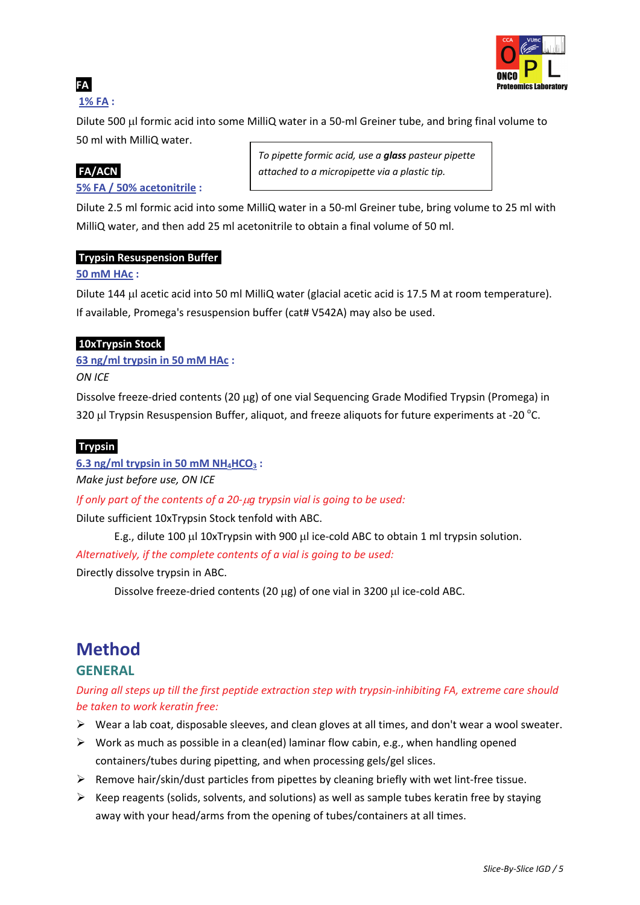

### **FA**.

### **1% FA :**

Dilute 500 μl formic acid into some MilliQ water in a 50‐ml Greiner tube, and bring final volume to 50 ml with MilliQ water.

**5% FA / 50% acetonitrile :**

*To pipette formic acid, use a glass pasteur pipette* **FA/ACN**. *attached to a micropipette via a plastic tip.*

Dilute 2.5 ml formic acid into some MilliQ water in a 50‐ml Greiner tube, bring volume to 25 ml with MilliQ water, and then add 25 ml acetonitrile to obtain a final volume of 50 ml.

#### **Trypsin Resuspension Buffer**.

#### **50 mM HAc :**

Dilute 144 μl acetic acid into 50 ml MilliQ water (glacial acetic acid is 17.5 M at room temperature). If available, Promega's resuspension buffer (cat# V542A) may also be used.

### **10xTrypsin Stock**.

**63 ng/ml trypsin in 50 mM HAc :**

*ON ICE*

Dissolve freeze‐dried contents (20 μg) of one vial Sequencing Grade Modified Trypsin (Promega) in 320  $\mu$ I Trypsin Resuspension Buffer, aliquot, and freeze aliquots for future experiments at -20  $^{\circ}$ C.

#### **Trypsin**.

 $6.3$  **ng/ml trypsin** in 50 **mM**  $NH_4HCO_3$ :

*Make just before use, ON ICE*

*If only part of the contents of a 20‐*μ*g trypsin vial is going to be used:* 

Dilute sufficient 10xTrypsin Stock tenfold with ABC.

E.g., dilute 100 μl 10xTrypsin with 900 μl ice‐cold ABC to obtain 1 ml trypsin solution.

*Alternatively, if the complete contents of a vial is going to be used:* 

Directly dissolve trypsin in ABC.

Dissolve freeze‐dried contents (20 μg) of one vial in 3200 μl ice‐cold ABC.

# **Method GENERAL**

During all steps up till the first peptide extraction step with trypsin-inhibiting FA, extreme care should *be taken to work keratin free:*

- $\triangleright$  Wear a lab coat, disposable sleeves, and clean gloves at all times, and don't wear a wool sweater.
- $\triangleright$  Work as much as possible in a clean(ed) laminar flow cabin, e.g., when handling opened containers/tubes during pipetting, and when processing gels/gel slices.
- ¾ Remove hair/skin/dust particles from pipettes by cleaning briefly with wet lint‐free tissue.
- $\triangleright$  Keep reagents (solids, solvents, and solutions) as well as sample tubes keratin free by staying away with your head/arms from the opening of tubes/containers at all times.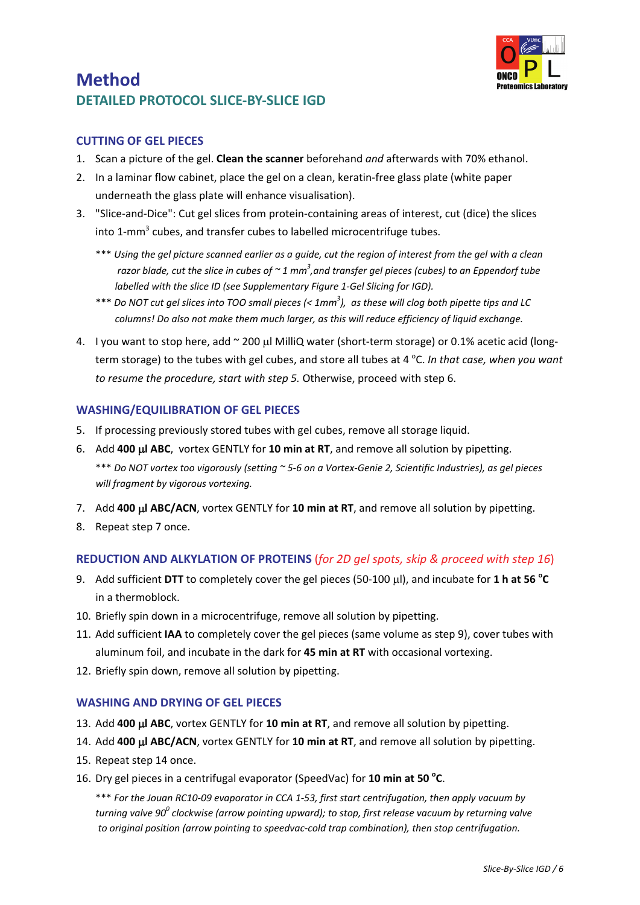

### **Method DETAILED PROTOCOL SLICE‐BY‐SLICE IGD**

#### **CUTTING OF GEL PIECES**

- 1. Scan a picture of the gel. **Clean the scanner** beforehand *and* afterwards with 70% ethanol.
- 2. In a laminar flow cabinet, place the gel on a clean, keratin‐free glass plate (white paper underneath the glass plate will enhance visualisation).
- 3. "Slice-and-Dice": Cut gel slices from protein-containing areas of interest, cut (dice) the slices into 1-mm<sup>3</sup> cubes, and transfer cubes to labelled microcentrifuge tubes.
	- \*\*\* Using the gel picture scanned earlier as a guide, cut the region of interest from the gel with a clean razor blade, cut the slice in cubes of  $\sim$  1 mm $^3$ ,and transfer gel pieces (cubes) to an Eppendorf tube *labelled with the slice ID (see Supplementary Figure 1‐Gel Slicing for IGD).*
	- \*\*\* Do NOT cut gel slices into TOO small pieces (<  $1mm<sup>3</sup>$ ), as these will clog both pipette tips and LC *columns! Do also not make them much larger, as this will reduce efficiency of liquid exchange.*
- 4. I you want to stop here, add ~ 200 μl MilliQ water (short‐term storage) or 0.1% acetic acid (long‐ term storage) to the tubes with gel cubes, and store all tubes at 4 <sup>o</sup>C. *In that case, when you want to resume the procedure, start with step 5.* Otherwise, proceed with step 6.

### **WASHING/EQUILIBRATION OF GEL PIECES**

- 5. If processing previously stored tubes with gel cubes, remove all storage liquid.
- 6. Add **<sup>400</sup>** <sup>μ</sup>**<sup>l</sup> ABC**, vortex GENTLY for **<sup>10</sup> min at RT**, and remove all solution by pipetting. \*\*\* Do NOT vortex too vigorously (setting ~ 5-6 on a Vortex-Genie 2, Scientific Industries), as gel pieces *will fragment by vigorous vortexing.*
- 7. Add **400** μ**l ABC/ACN**, vortex GENTLY for **10 min at RT**, and remove all solution by pipetting.
- 8. Repeat step 7 once.

### **REDUCTION AND ALKYLATION OF PROTEINS** (*for 2D gel spots, skip & proceed with step 16*)

- 9. Add sufficient **DTT** to completely cover the gel pieces (50‐100 μl), and incubate for **1 h at 56 <sup>o</sup> C** in a thermoblock.
- 10. Briefly spin down in a microcentrifuge, remove all solution by pipetting.
- 11. Add sufficient **IAA** to completely cover the gel pieces (same volume as step 9), cover tubes with aluminum foil, and incubate in the dark for **45 min at RT** with occasional vortexing.
- 12. Briefly spin down, remove all solution by pipetting.

### **WASHING AND DRYING OF GEL PIECES**

- 13. Add **400** μ**l ABC**, vortex GENTLY for **10 min at RT**, and remove all solution by pipetting.
- 14. Add **400** μ**l ABC/ACN**, vortex GENTLY for **10 min at RT**, and remove all solution by pipetting.
- 15. Repeat step 14 once.
- 16. Dry gel pieces in a centrifugal evaporator (SpeedVac) for **10 min at 50 <sup>o</sup> <sup>C</sup>**.

\*\*\* For the Jouan RC10-09 evaporator in CCA 1-53, first start centrifugation, then apply vacuum by *turning valve 900 clockwise (arrow pointing upward); to stop, first release vacuum by returning valve to original position (arrow pointing to speedvac‐cold trap combination), then stop centrifugation.*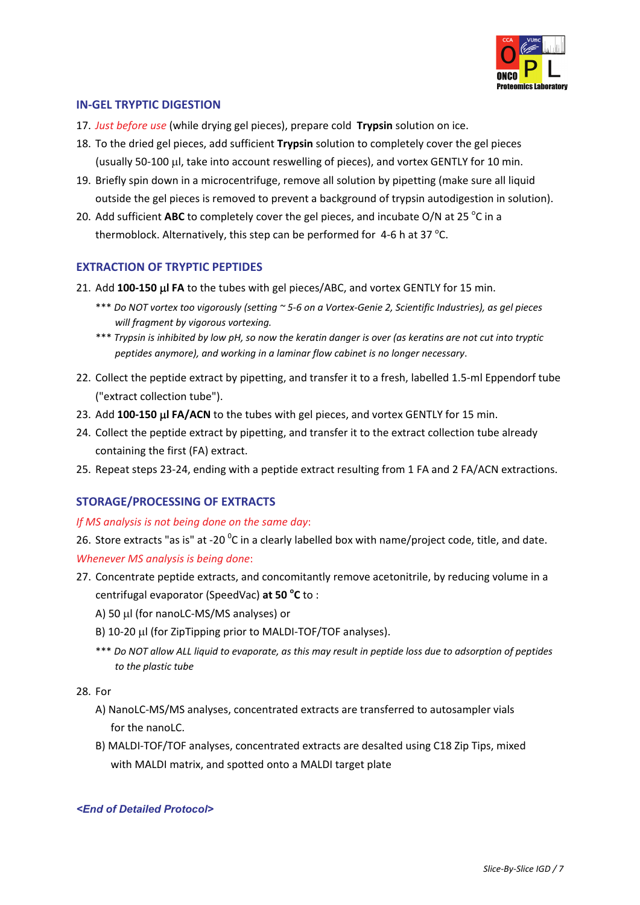

#### **IN‐GEL TRYPTIC DIGESTION**

- 17. *Just before use* (while drying gel pieces), prepare cold **Trypsin** solution on ice.
- 18. To the dried gel pieces, add sufficient **Trypsin** solution to completely cover the gel pieces (usually 50‐100 μl, take into account reswelling of pieces), and vortex GENTLY for 10 min.
- 19. Briefly spin down in a microcentrifuge, remove all solution by pipetting (make sure all liquid outside the gel pieces is removed to prevent a background of trypsin autodigestion in solution).
- 20. Add sufficient ABC to completely cover the gel pieces, and incubate O/N at 25 °C in a thermoblock. Alternatively, this step can be performed for  $4$ -6 h at 37 °C.

#### **EXTRACTION OF TRYPTIC PEPTIDES**

- 21. Add **<sup>100</sup>‐<sup>150</sup>** <sup>μ</sup>**<sup>l</sup> FA** to the tubes with gel pieces/ABC, and vortex GENTLY for <sup>15</sup> min.
	- \*\*\* Do NOT vortex too vigorously (setting ~5-6 on a Vortex-Genie 2, Scientific Industries), as gel pieces *will fragment by vigorous vortexing.*
	- \*\*\* Trypsin is inhibited by low pH, so now the keratin danger is over (as keratins are not cut into tryptic *peptides anymore), and working in <sup>a</sup> laminar flow cabinet is no longer necessary*.
- 22. Collect the peptide extract by pipetting, and transfer it to a fresh, labelled 1.5‐ml Eppendorf tube ("extract collection tube").
- 23. Add **100‐150** μ**l FA/ACN** to the tubes with gel pieces, and vortex GENTLY for 15 min.
- 24. Collect the peptide extract by pipetting, and transfer it to the extract collection tube already containing the first (FA) extract.
- 25. Repeat steps 23‐24, ending with a peptide extract resulting from 1 FA and 2 FA/ACN extractions.

#### **STORAGE/PROCESSING OF EXTRACTS**

#### *If MS analysis is not being done on the same day*:

26. Store extracts "as is" at -20  $^{0}$ C in a clearly labelled box with name/project code, title, and date. *Whenever MS analysis is being done*:

- 27. Concentrate peptide extracts, and concomitantly remove acetonitrile, by reducing volume in a centrifugal evaporator (SpeedVac) **at 50 <sup>o</sup> C** to :
	- A) 50 μl (for nanoLC‐MS/MS analyses) or
	- B) <sup>10</sup>‐<sup>20</sup> <sup>μ</sup><sup>l</sup> (for ZipTipping prior to MALDI‐TOF/TOF analyses).
	- \*\*\* Do NOT allow ALL liquid to evaporate, as this may result in peptide loss due to adsorption of peptides *to the plastic tube*

28. For

- A) NanoLC‐MS/MS analyses, concentrated extracts are transferred to autosampler vials for the nanol  $C$ .
- B) MALDI‐TOF/TOF analyses, concentrated extracts are desalted using C18 Zip Tips, mixed with MALDI matrix, and spotted onto a MALDI target plate

*<End of Detailed Protocol>*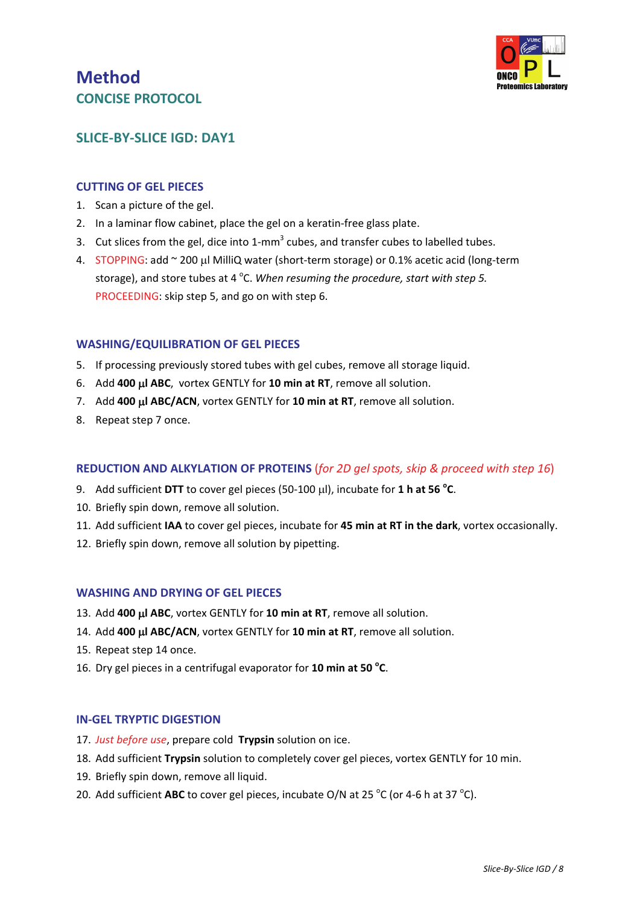### **Method CONCISE PROTOCOL**



### **SLICE‐BY‐SLICE IGD: DAY1**

#### **CUTTING OF GEL PIECES**

- 1. Scan a picture of the gel.
- 2. In a laminar flow cabinet, place the gel on a keratin-free glass plate.
- 3. Cut slices from the gel, dice into  $1$ -mm<sup>3</sup> cubes, and transfer cubes to labelled tubes.
- 4. STOPPING: add ~ 200 μl MilliQ water (short‐term storage) or 0.1% acetic acid (long‐term storage), and store tubes at 4 °C. When resuming the procedure, start with step 5. PROCEEDING: skip step 5, and go on with step 6.

#### **WASHING/EQUILIBRATION OF GEL PIECES**

- 5. If processing previously stored tubes with gel cubes, remove all storage liquid.
- 6. Add **400** μ**l ABC**, vortex GENTLY for **10 min at RT**, remove all solution.
- 7. Add **400** μ**l ABC/ACN**, vortex GENTLY for **10 min at RT**, remove all solution.
- 8. Repeat step 7 once.

#### **REDUCTION AND ALKYLATION OF PROTEINS** (*for 2D gel spots, skip & proceed with step 16*)

- 9. Add sufficient **DTT** to cover gel pieces (50‐100 μl), incubate for **1 h at 56 <sup>o</sup> C**.
- 10. Briefly spin down, remove all solution.
- 11. Add sufficient **IAA** to cover gel pieces, incubate for **45 min at RT in the dark**, vortex occasionally.
- 12. Briefly spin down, remove all solution by pipetting.

#### **WASHING AND DRYING OF GEL PIECES**

- 13. Add **400** μ**l ABC**, vortex GENTLY for **10 min at RT**, remove all solution.
- 14. Add **400** μ**l ABC/ACN**, vortex GENTLY for **10 min at RT**, remove all solution.
- 15. Repeat step 14 once.
- 16. Dry gel pieces in a centrifugal evaporator for **10 min at 50 <sup>o</sup> C**.

#### **IN‐GEL TRYPTIC DIGESTION**

- 17. *Just before use*, prepare cold **Trypsin** solution on ice.
- 18. Add sufficient **Trypsin** solution to completely cover gel pieces, vortex GENTLY for 10 min.
- 19. Briefly spin down, remove all liquid.
- 20. Add sufficient ABC to cover gel pieces, incubate O/N at 25 °C (or 4-6 h at 37 °C).